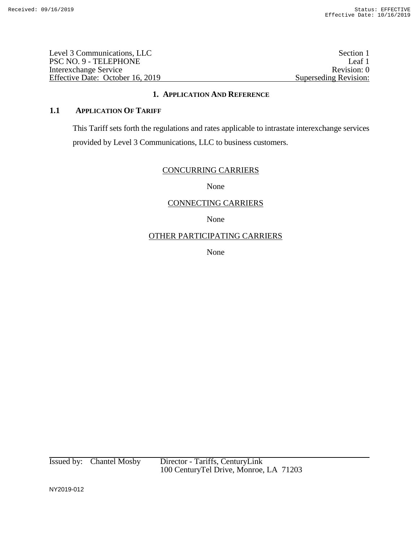Level 3 Communications, LLC<br>
PSC NO. 9 - TELEPHONE<br>
Leaf 1 PSC NO. 9 - TELEPHONE Leaf 1<br>Interexchange Service Revision: 0 Interexchange Service Effective Date: October 16, 2019 Superseding Revision:

#### **1. APPLICATION AND REFERENCE**

## **1.1 APPLICATION OF TARIFF**

This Tariff sets forth the regulations and rates applicable to intrastate interexchange services provided by Level 3 Communications, LLC to business customers.

### CONCURRING CARRIERS

None

### CONNECTING CARRIERS

None

# OTHER PARTICIPATING CARRIERS

None

Issued by: Chantel Mosby Director - Tariffs, CenturyLink 100 CenturyTel Drive, Monroe, LA 71203

NY2019-012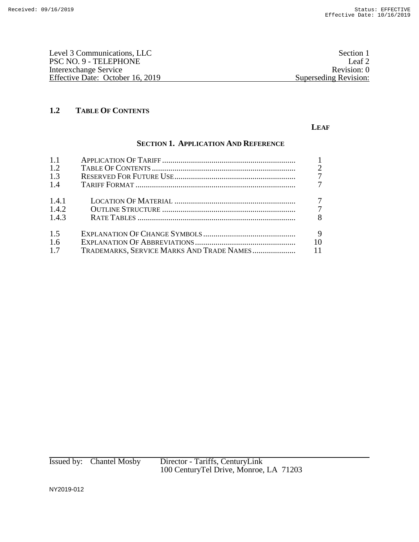| Section 1             |
|-----------------------|
| Leaf 2                |
| Revision: 0           |
| Superseding Revision: |
|                       |

#### **LEAF**

# **SECTION 1. APPLICATION AND REFERENCE**

| 1.1   |                                           |                |
|-------|-------------------------------------------|----------------|
| 1.2   |                                           | $\overline{2}$ |
| 1.3   |                                           | $\overline{7}$ |
| 1.4   |                                           |                |
| 1.4.1 |                                           | 7              |
| 1.4.2 |                                           | $\overline{7}$ |
| 1.4.3 |                                           | 8              |
| 1.5   |                                           | 9              |
| 1.6   |                                           | 10             |
| 1.7   | TRADEMARKS, SERVICE MARKS AND TRADE NAMES | <b>11</b>      |

Issued by: Chantel Mosby Director - Tariffs, CenturyLink 100 CenturyTel Drive, Monroe, LA 71203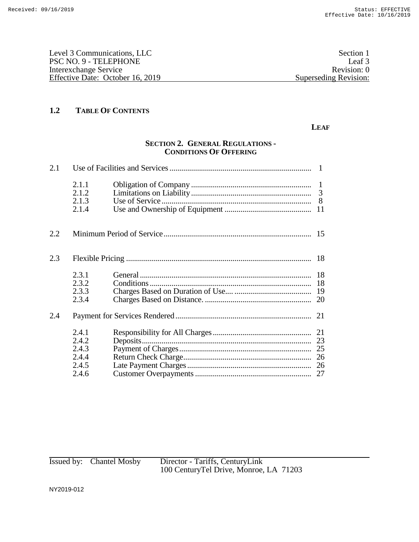| Section 1             |
|-----------------------|
| Leaf 3                |
| Revision: 0           |
| Superseding Revision: |
|                       |

#### **LEAF**

### **SECTION 2. GENERAL REGULATIONS - CONDITIONS OF OFFERING**

| 2.1 |                                                    |  |
|-----|----------------------------------------------------|--|
|     | 2.1.1<br>2.1.2<br>2.1.3<br>2.1.4                   |  |
| 2.2 |                                                    |  |
| 2.3 |                                                    |  |
|     | 2.3.1<br>2.3.2<br>2.3.3<br>2.3.4                   |  |
| 2.4 |                                                    |  |
|     | 2.4.1<br>2.4.2<br>2.4.3<br>2.4.4<br>2.4.5<br>2.4.6 |  |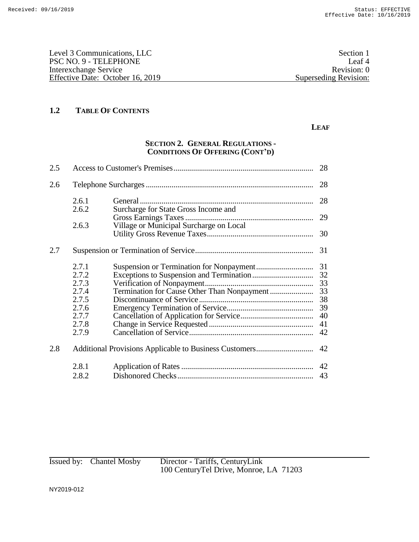| Level 3 Communications, LLC      | Section 1             |
|----------------------------------|-----------------------|
| PSC NO. 9 - TELEPHONE            | Leaf <sup>4</sup>     |
| Interexchange Service            | Revision: 0           |
| Effective Date: October 16, 2019 | Superseding Revision: |
|                                  |                       |

#### **LEAF**

# **SECTION 2. GENERAL REGULATIONS - CONDITIONS OF OFFERING (CONT'D)**

| 2.5 |       |                                         | 28 |
|-----|-------|-----------------------------------------|----|
| 2.6 |       |                                         | 28 |
|     | 2.6.1 |                                         | 28 |
|     | 2.6.2 | Surcharge for State Gross Income and    |    |
|     |       |                                         | 29 |
|     | 2.6.3 | Village or Municipal Surcharge on Local |    |
|     |       |                                         | 30 |
| 2.7 |       |                                         | 31 |
|     | 2.7.1 |                                         | 31 |
|     | 2.7.2 |                                         | 32 |
|     | 2.7.3 |                                         | 33 |
|     | 2.7.4 |                                         | 33 |
|     | 2.7.5 |                                         | 38 |
|     | 2.7.6 |                                         | 39 |
|     | 2.7.7 |                                         | 40 |
|     | 2.7.8 |                                         | 41 |
|     | 2.7.9 |                                         | 42 |
| 2.8 |       |                                         | 42 |
|     | 2.8.1 |                                         | 42 |
|     | 2.8.2 |                                         | 43 |
|     |       |                                         |    |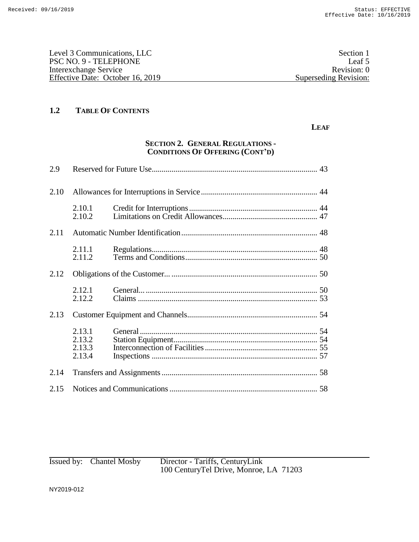| Level 3 Communications, LLC      | Section 1             |
|----------------------------------|-----------------------|
| PSC NO. 9 - TELEPHONE            | Leaf 5                |
| Interexchange Service            | Revision: 0           |
| Effective Date: October 16, 2019 | Superseding Revision: |
|                                  |                       |

#### **LEAF**

# **SECTION 2. GENERAL REGULATIONS - CONDITIONS OF OFFERING (CONT'D)**

| 2.9  |                                      |  |
|------|--------------------------------------|--|
| 2.10 |                                      |  |
|      | 2.10.1<br>2.10.2                     |  |
| 2.11 |                                      |  |
|      | 2.11.1<br>2.11.2                     |  |
| 2.12 |                                      |  |
|      | 2.12.1<br>2.12.2                     |  |
| 2.13 |                                      |  |
|      | 2.13.1<br>2.13.2<br>2.13.3<br>2.13.4 |  |
| 2.14 |                                      |  |
| 2.15 |                                      |  |

| Issued by: Chantel Mosby | Director - Tariffs, CenturyLink<br>100 CenturyTel Drive, Monroe, LA 71203 |
|--------------------------|---------------------------------------------------------------------------|
|                          |                                                                           |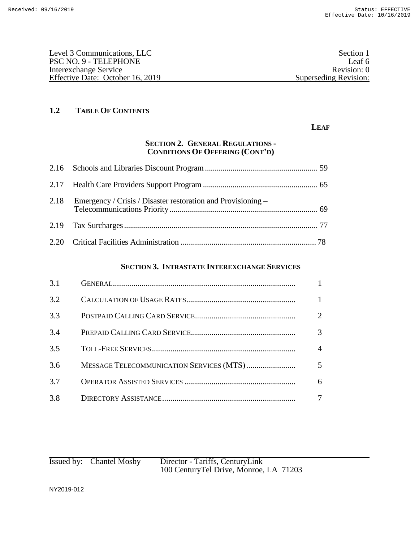| Level 3 Communications, LLC      | Section 1             |
|----------------------------------|-----------------------|
| PSC NO. 9 - TELEPHONE            | Leaf 6                |
| Interexchange Service            | Revision: 0           |
| Effective Date: October 16, 2019 | Superseding Revision: |
|                                  |                       |

#### **LEAF**

## **SECTION 2. GENERAL REGULATIONS - CONDITIONS OF OFFERING (CONT'D)**

### **SECTION 3. INTRASTATE INTEREXCHANGE SERVICES**

| 3.1 |                |
|-----|----------------|
| 3.2 |                |
| 3.3 | 2              |
| 3.4 | $\mathfrak{Z}$ |
| 3.5 | $\overline{4}$ |
| 3.6 | $5^{\circ}$    |
| 3.7 | 6              |
| 3.8 | 7              |

| Issued by: Chantel Mosby | Director - Tariffs, CenturyLink        |
|--------------------------|----------------------------------------|
|                          | 100 CenturyTel Drive, Monroe, LA 71203 |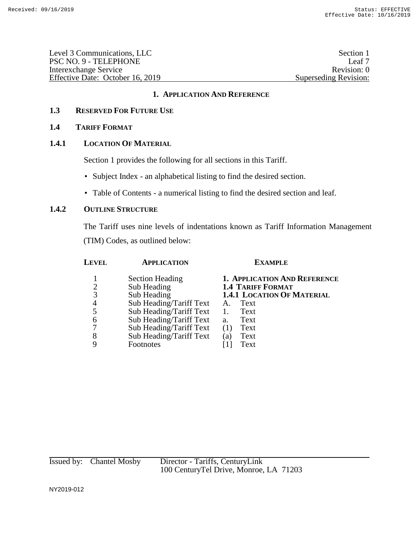| Level 3 Communications, LLC      | Section 1             |
|----------------------------------|-----------------------|
| PSC NO. 9 - TELEPHONE            | Leaf 7                |
| Interexchange Service            | Revision: 0           |
| Effective Date: October 16, 2019 | Superseding Revision: |

### **1.3 RESERVED FOR FUTURE USE**

### **1.4 TARIFF FORMAT**

### **1.4.1 LOCATION OF MATERIAL**

Section 1 provides the following for all sections in this Tariff.

- Subject Index an alphabetical listing to find the desired section.
- Table of Contents a numerical listing to find the desired section and leaf.

### **1.4.2 OUTLINE STRUCTURE**

The Tariff uses nine levels of indentations known as Tariff Information Management (TIM) Codes, as outlined below:

| Level | <b>APPLICATION</b>      | <b>EXAMPLE</b>                    |  |  |
|-------|-------------------------|-----------------------------------|--|--|
|       | <b>Section Heading</b>  | 1. APPLICATION AND REFERENCE      |  |  |
|       | Sub Heading             | <b>1.4 TARIFF FORMAT</b>          |  |  |
| 3     | Sub Heading             | <b>1.4.1 LOCATION OF MATERIAL</b> |  |  |
| 4     | Sub Heading/Tariff Text | Text<br>A.                        |  |  |
| 5     | Sub Heading/Tariff Text | Text<br>1.                        |  |  |
| 6     | Sub Heading/Tariff Text | Text<br>a.                        |  |  |
| 7     | Sub Heading/Tariff Text | Text<br>(1)                       |  |  |
| 8     | Sub Heading/Tariff Text | Text<br>(a)                       |  |  |
| Q     | Footnotes               | Text                              |  |  |
|       |                         |                                   |  |  |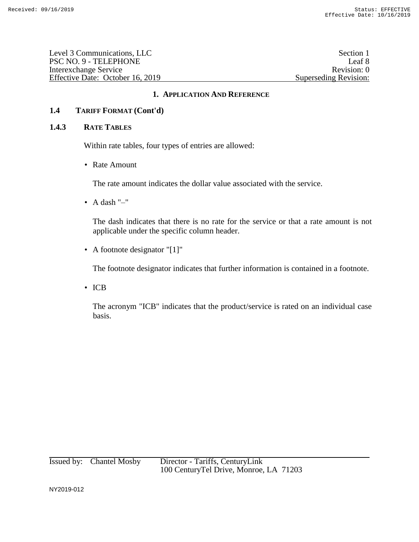| Section 1             |
|-----------------------|
| Leaf 8                |
| Revision: 0           |
| Superseding Revision: |
|                       |

### **1.4 TARIFF FORMAT (Cont'd)**

#### **1.4.3 RATE TABLES**

Within rate tables, four types of entries are allowed:

• Rate Amount

The rate amount indicates the dollar value associated with the service.

• A dash "–"

The dash indicates that there is no rate for the service or that a rate amount is not applicable under the specific column header.

• A footnote designator "[1]"

The footnote designator indicates that further information is contained in a footnote.

• ICB

The acronym "ICB" indicates that the product/service is rated on an individual case basis.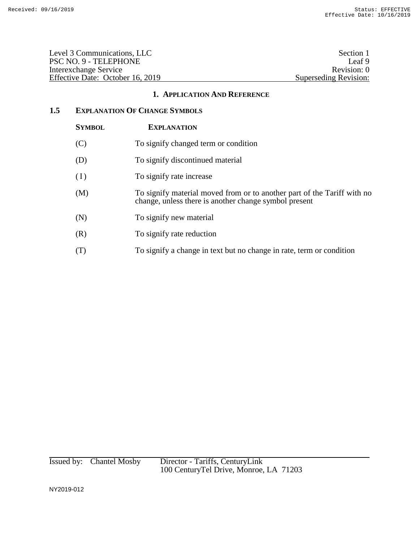| Level 3 Communications, LLC      | Section 1             |
|----------------------------------|-----------------------|
| PSC NO. 9 - TELEPHONE            | Leaf 9                |
| Interexchange Service            | Revision: 0           |
| Effective Date: October 16, 2019 | Superseding Revision: |

## **1.5 EXPLANATION OF CHANGE SYMBOLS**

| <b>SYMBOL</b> | <b>EXPLANATION</b>                                                                                                               |
|---------------|----------------------------------------------------------------------------------------------------------------------------------|
| (C)           | To signify changed term or condition                                                                                             |
| (D)           | To signify discontinued material                                                                                                 |
| (I)           | To signify rate increase                                                                                                         |
| (M)           | To signify material moved from or to another part of the Tariff with no<br>change, unless there is another change symbol present |
| (N)           | To signify new material                                                                                                          |
| (R)           | To signify rate reduction                                                                                                        |
| (T)           | To signify a change in text but no change in rate, term or condition                                                             |

Issued by: Chantel Mosby Director - Tariffs, CenturyLink 100 CenturyTel Drive, Monroe, LA 71203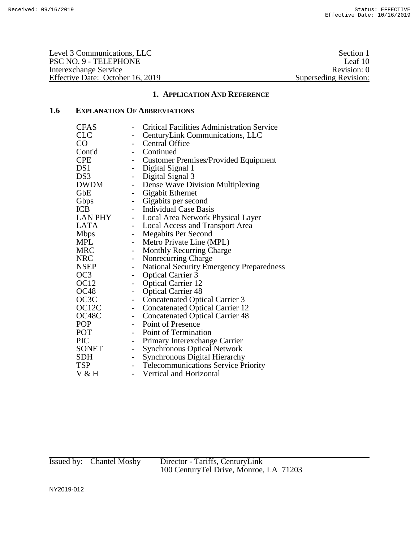Level 3 Communications, LLC<br>
PSC NO. 9 - TELEPHONE<br>
Leaf 10 PSC NO. 9 - TELEPHONE Leaf 10<br>Interexchange Service Revision: 0 Interexchange Service<br>
Effective Date: October 16, 2019<br>
Superseding Revision: 0<br>
Superseding Revision: Effective Date: October 16, 2019

#### **1. APPLICATION AND REFERENCE**

# **1.6 EXPLANATION OF ABBREVIATIONS**

| <b>CFAS</b> |                             | <b>Critical Facilities Administration Service</b> |
|-------------|-----------------------------|---------------------------------------------------|
| CLC         |                             | CenturyLink Communications, LLC                   |
| $\rm CO$    | $\overline{\phantom{0}}$    | <b>Central Office</b>                             |
| Cont'd      |                             | - Continued                                       |
| <b>CPE</b>  |                             | - Customer Premises/Provided Equipment            |
| DS1         |                             | - Digital Signal 1                                |
| DS3         | $\blacksquare$              | Digital Signal 3                                  |
| DWDM        | $\blacksquare$              | Dense Wave Division Multiplexing                  |
| GbE         | $\sim$                      | Gigabit Ethernet                                  |
| Gbps        | $\mathcal{L}_{\mathcal{A}}$ | Gigabits per second                               |
| ICB         |                             | - Individual Case Basis                           |
| LAN PHY     |                             | - Local Area Network Physical Layer               |
| LATA        | $\sim$                      | <b>Local Access and Transport Area</b>            |
| Mbps        | $\sim$                      | <b>Megabits Per Second</b>                        |
| MPL         | $\sim$                      | Metro Private Line (MPL)                          |
| MRC         | $\overline{\phantom{a}}$    | <b>Monthly Recurring Charge</b>                   |
| NRC         | $\overline{\phantom{0}}$    | Nonrecurring Charge                               |
| NSEP        | $\overline{\phantom{a}}$    | <b>National Security Emergency Preparedness</b>   |
| OC3         | $-$                         | <b>Optical Carrier 3</b>                          |
| OC12        | $\sim$                      | <b>Optical Carrier 12</b>                         |
| <b>OC48</b> |                             | - Optical Carrier 48                              |
| OC3C        | $\overline{\phantom{0}}$    | <b>Concatenated Optical Carrier 3</b>             |
| OC12C       | $\overline{\phantom{0}}$    | <b>Concatenated Optical Carrier 12</b>            |
| OC48C       | $\sim$                      | <b>Concatenated Optical Carrier 48</b>            |
| POP         |                             | - Point of Presence                               |
| POT         |                             | - Point of Termination                            |
| PIC         | $\blacksquare$              | Primary Interexchange Carrier                     |
| SONET       | $\blacksquare$              | <b>Synchronous Optical Network</b>                |
| SDH         | $-$                         | Synchronous Digital Hierarchy                     |
| TSP         |                             | - Telecommunications Service Priority             |
| V & H       | $\overline{\phantom{0}}$    | <b>Vertical and Horizontal</b>                    |
|             |                             |                                                   |